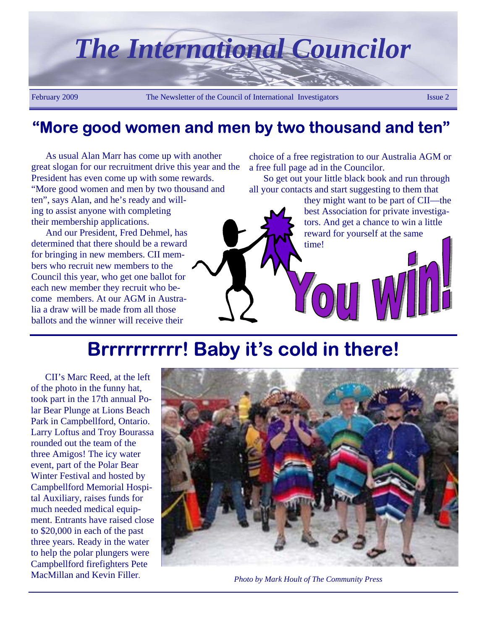

### **"More good women and men by two thousand and ten"**

As usual Alan Marr has come up with another great slogan for our recruitment drive this year and the President has even come up with some rewards. "More good women and men by two thousand and ten", says Alan, and he's ready and willing to assist anyone with completing their membership applications.

And our President, Fred Dehmel, has determined that there should be a reward for bringing in new members. CII members who recruit new members to the Council this year, who get one ballot for each new member they recruit who become members. At our AGM in Australia a draw will be made from all those ballots and the winner will receive their

choice of a free registration to our Australia AGM or a free full page ad in the Councilor.

So get out your little black book and run through all your contacts and start suggesting to them that

> they might want to be part of CII—the best Association for private investigators. And get a chance to win a little reward for yourself at the same time!

# **Brrrrrrrrrr! Baby it's cold in there!**

CII's Marc Reed, at the left of the photo in the funny hat, took part in the 17th annual Polar Bear Plunge at Lions Beach Park in Campbellford, Ontario. Larry Loftus and Troy Bourassa rounded out the team of the three Amigos! The icy water event, part of the Polar Bear Winter Festival and hosted by Campbellford Memorial Hospital Auxiliary, raises funds for much needed medical equipment. Entrants have raised close to \$20,000 in each of the past three years. Ready in the water to help the polar plungers were Campbellford firefighters Pete MacMillan and Kevin Filler.



*Photo by Mark Hoult of The Community Press*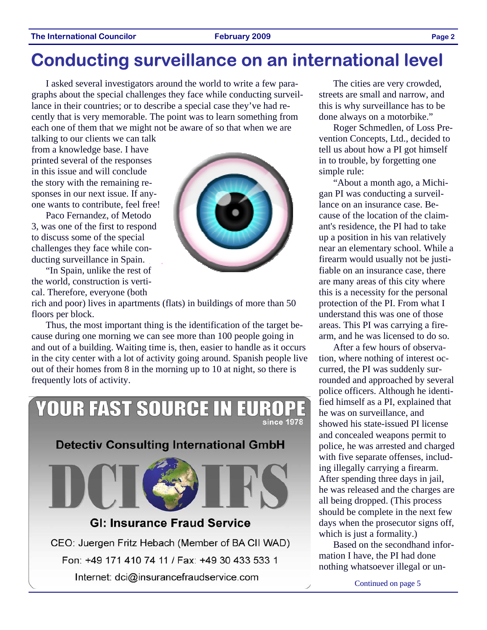### **The International Councilor Construction Council Council Council Council Council Council Council Council Council Council Council Council Council Council Council Council Council Council Council Council Council Council Coun**

## **Conducting surveillance on an international level**

I asked several investigators around the world to write a few paragraphs about the special challenges they face while conducting surveillance in their countries; or to describe a special case they've had recently that is very memorable. The point was to learn something from each one of them that we might not be aware of so that when we are

talking to our clients we can talk from a knowledge base. I have printed several of the responses in this issue and will conclude the story with the remaining responses in our next issue. If anyone wants to contribute, feel free!

Paco Fernandez, of Metodo 3, was one of the first to respond to discuss some of the special challenges they face while conducting surveillance in Spain.

"In Spain, unlike the rest of the world, construction is vertical. Therefore, everyone (both

rich and poor) lives in apartments (flats) in buildings of more than 50 floors per block.

Thus, the most important thing is the identification of the target because during one morning we can see more than 100 people going in and out of a building. Waiting time is, then, easier to handle as it occurs in the city center with a lot of activity going around. Spanish people live out of their homes from 8 in the morning up to 10 at night, so there is frequently lots of activity.



The cities are very crowded, streets are small and narrow, and this is why surveillance has to be done always on a motorbike."

Roger Schmedlen, of Loss Prevention Concepts, Ltd., decided to tell us about how a PI got himself in to trouble, by forgetting one simple rule:

"About a month ago, a Michigan PI was conducting a surveillance on an insurance case. Because of the location of the claimant's residence, the PI had to take up a position in his van relatively near an elementary school. While a firearm would usually not be justifiable on an insurance case, there are many areas of this city where this is a necessity for the personal protection of the PI. From what I understand this was one of those areas. This PI was carrying a firearm, and he was licensed to do so.

After a few hours of observation, where nothing of interest occurred, the PI was suddenly surrounded and approached by several police officers. Although he identified himself as a PI, explained that he was on surveillance, and showed his state-issued PI license and concealed weapons permit to police, he was arrested and charged with five separate offenses, including illegally carrying a firearm. After spending three days in jail, he was released and the charges are all being dropped. (This process should be complete in the next few days when the prosecutor signs off, which is just a formality.)

Based on the secondhand information I have, the PI had done nothing whatsoever illegal or un-

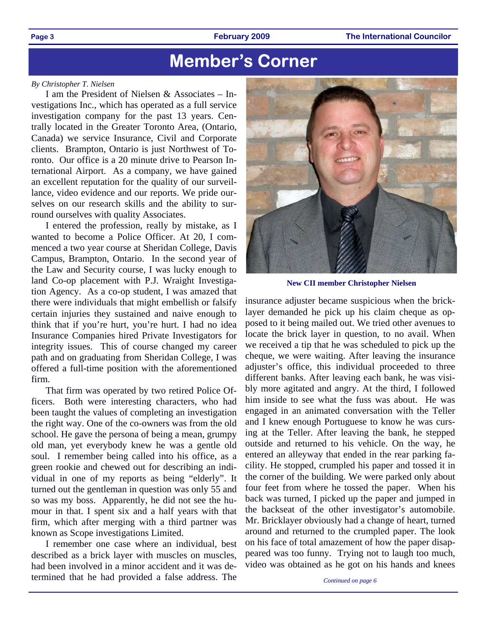#### **Page 3 February 2009 The International Councilor**

## **Member's Corner**

#### *By Christopher T. Nielsen*

I am the President of Nielsen & Associates – Investigations Inc., which has operated as a full service investigation company for the past 13 years. Centrally located in the Greater Toronto Area, (Ontario, Canada) we service Insurance, Civil and Corporate clients. Brampton, Ontario is just Northwest of Toronto. Our office is a 20 minute drive to Pearson International Airport. As a company, we have gained an excellent reputation for the quality of our surveillance, video evidence and our reports. We pride ourselves on our research skills and the ability to surround ourselves with quality Associates.

I entered the profession, really by mistake, as I wanted to become a Police Officer. At 20, I commenced a two year course at Sheridan College, Davis Campus, Brampton, Ontario. In the second year of the Law and Security course, I was lucky enough to land Co-op placement with P.J. Wraight Investigation Agency. As a co-op student, I was amazed that there were individuals that might embellish or falsify certain injuries they sustained and naive enough to think that if you're hurt, you're hurt. I had no idea Insurance Companies hired Private Investigators for integrity issues. This of course changed my career path and on graduating from Sheridan College, I was offered a full-time position with the aforementioned firm.

That firm was operated by two retired Police Officers. Both were interesting characters, who had been taught the values of completing an investigation the right way. One of the co-owners was from the old school. He gave the persona of being a mean, grumpy old man, yet everybody knew he was a gentle old soul. I remember being called into his office, as a green rookie and chewed out for describing an individual in one of my reports as being "elderly". It turned out the gentleman in question was only 55 and so was my boss. Apparently, he did not see the humour in that. I spent six and a half years with that firm, which after merging with a third partner was known as Scope investigations Limited.

I remember one case where an individual, best described as a brick layer with muscles on muscles, had been involved in a minor accident and it was determined that he had provided a false address. The



**New CII member Christopher Nielsen** 

insurance adjuster became suspicious when the bricklayer demanded he pick up his claim cheque as opposed to it being mailed out. We tried other avenues to locate the brick layer in question, to no avail. When we received a tip that he was scheduled to pick up the cheque, we were waiting. After leaving the insurance adjuster's office, this individual proceeded to three different banks. After leaving each bank, he was visibly more agitated and angry. At the third, I followed him inside to see what the fuss was about. He was engaged in an animated conversation with the Teller and I knew enough Portuguese to know he was cursing at the Teller. After leaving the bank, he stepped outside and returned to his vehicle. On the way, he entered an alleyway that ended in the rear parking facility. He stopped, crumpled his paper and tossed it in the corner of the building. We were parked only about four feet from where he tossed the paper. When his back was turned, I picked up the paper and jumped in the backseat of the other investigator's automobile. Mr. Bricklayer obviously had a change of heart, turned around and returned to the crumpled paper. The look on his face of total amazement of how the paper disappeared was too funny. Trying not to laugh too much, video was obtained as he got on his hands and knees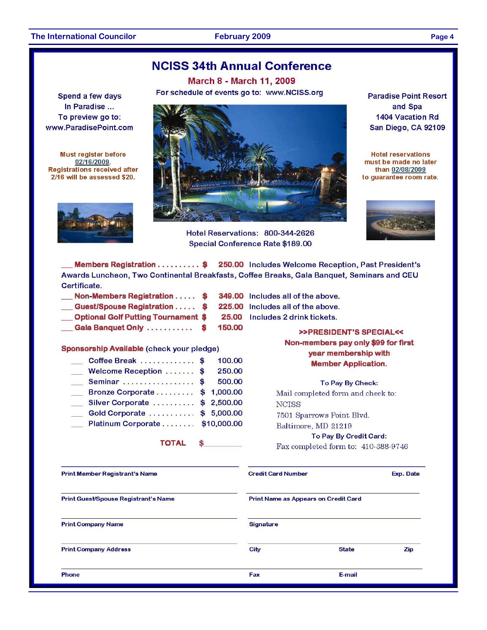Spend a few days

In Paradise ...

To preview go to:

www.ParadisePoint.com

**Must register before** 

02/16/2009.

**Registrations received after** 

2/16 will be assessed \$20.

### **NCISS 34th Annual Conference**

**March 8 - March 11, 2009** For schedule of events go to: www.NCISS.org



Hotel Reservations: 800-344-2626 Special Conference Rate \$189.00

**Paradise Point Resort** and Spa **1404 Vacation Rd** San Diego, CA 92109

**Hotel reservations** must be made no later than 02/08/2009 to quarantee room rate.



Members Registration . . . . . . . . . \$ 250.00 Includes Welcome Reception, Past President's Awards Luncheon, Two Continental Breakfasts, Coffee Breaks, Gala Banquet, Seminars and CEU Certificate.

| Non-Members Registration \$                |   | 349.00 |
|--------------------------------------------|---|--------|
| Guest/Spouse Registration \$               |   | 225.00 |
| <b>Optional Golf Putting Tournament \$</b> |   | 25.00  |
| Gala Banquet Only                          | S | 150.00 |

Sponsorship Available (check your pledge)

| Coffee Break \$                 | 100.00 |
|---------------------------------|--------|
| Welcome Reception  \$           | 250.00 |
| Seminar  \$                     | 500.00 |
| Bronze Corporate  \$ 1,000.00   |        |
| Silver Corporate  \$ 2,500.00   |        |
| Gold Corporate \$ 5,000.00      |        |
| Platinum Corporate  \$10,000.00 |        |

**TOTAL** 

.00 Includes all of the above. .00 Includes all of the above.

00 Includes 2 drink tickets.

### >>PRESIDENT'S SPECIAL<< Non-members pay only \$99 for first year membership with **Member Application.**

To Pay By Check:

Mail completed form and check to: **NCISS** 7501 Sparrows Point Blvd. Baltimore, MD 21219

To Pay By Credit Card:

Fax completed form to: 410-388-9746

| <b>Print Member Registrant's Name</b> | <b>Credit Card Number</b>            | Exp. Date    |     |  |  |
|---------------------------------------|--------------------------------------|--------------|-----|--|--|
| Print Guest/Spouse Registrant's Name  | Print Name as Appears on Credit Card |              |     |  |  |
| <b>Print Company Name</b>             | <b>Signature</b>                     |              |     |  |  |
| <b>Print Company Address</b>          | City                                 | <b>State</b> | Zip |  |  |
| Phone                                 | Fax                                  | E-mail       |     |  |  |

Page 4

**February 2009**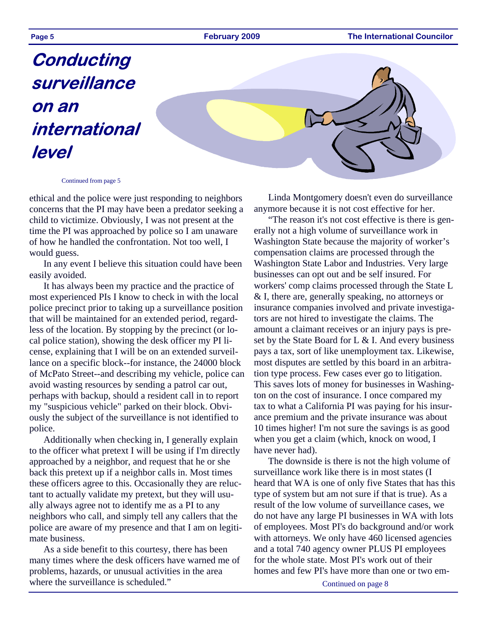**Page 5 February 2009 The International Councilor** 

# **Conducting surveillance on an international level**



#### Continued from page 5

ethical and the police were just responding to neighbors concerns that the PI may have been a predator seeking a child to victimize. Obviously, I was not present at the time the PI was approached by police so I am unaware of how he handled the confrontation. Not too well, I would guess.

In any event I believe this situation could have been easily avoided.

It has always been my practice and the practice of most experienced PIs I know to check in with the local police precinct prior to taking up a surveillance position that will be maintained for an extended period, regardless of the location. By stopping by the precinct (or local police station), showing the desk officer my PI license, explaining that I will be on an extended surveillance on a specific block--for instance, the 24000 block of McPato Street--and describing my vehicle, police can avoid wasting resources by sending a patrol car out, perhaps with backup, should a resident call in to report my "suspicious vehicle" parked on their block. Obviously the subject of the surveillance is not identified to police.

Additionally when checking in, I generally explain to the officer what pretext I will be using if I'm directly approached by a neighbor, and request that he or she back this pretext up if a neighbor calls in. Most times these officers agree to this. Occasionally they are reluctant to actually validate my pretext, but they will usually always agree not to identify me as a PI to any neighbors who call, and simply tell any callers that the police are aware of my presence and that I am on legitimate business.

As a side benefit to this courtesy, there has been many times where the desk officers have warned me of problems, hazards, or unusual activities in the area where the surveillance is scheduled."

Linda Montgomery doesn't even do surveillance anymore because it is not cost effective for her.

"The reason it's not cost effective is there is generally not a high volume of surveillance work in Washington State because the majority of worker's compensation claims are processed through the Washington State Labor and Industries. Very large businesses can opt out and be self insured. For workers' comp claims processed through the State L & I, there are, generally speaking, no attorneys or insurance companies involved and private investigators are not hired to investigate the claims. The amount a claimant receives or an injury pays is preset by the State Board for L  $\&$  I. And every business pays a tax, sort of like unemployment tax. Likewise, most disputes are settled by this board in an arbitration type process. Few cases ever go to litigation. This saves lots of money for businesses in Washington on the cost of insurance. I once compared my tax to what a California PI was paying for his insurance premium and the private insurance was about 10 times higher! I'm not sure the savings is as good when you get a claim (which, knock on wood, I have never had).

The downside is there is not the high volume of surveillance work like there is in most states (I heard that WA is one of only five States that has this type of system but am not sure if that is true). As a result of the low volume of surveillance cases, we do not have any large PI businesses in WA with lots of employees. Most PI's do background and/or work with attorneys. We only have 460 licensed agencies and a total 740 agency owner PLUS PI employees for the whole state. Most PI's work out of their homes and few PI's have more than one or two em-

Continued on page 8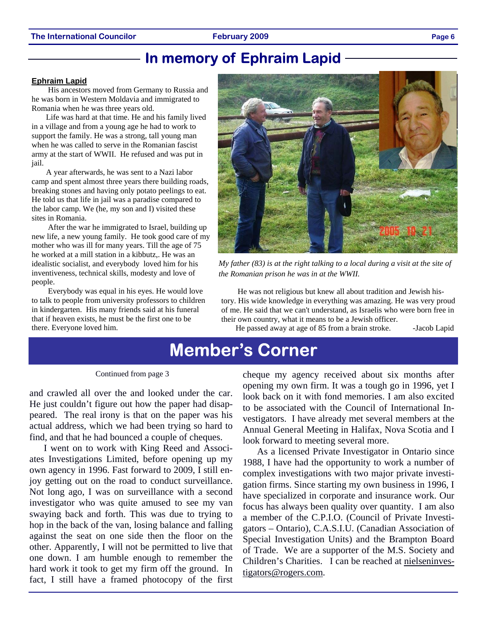### **In memory of Ephraim Lapid**

#### **Ephraim Lapid**

 His ancestors moved from Germany to Russia and he was born in Western Moldavia and immigrated to Romania when he was three years old.

Life was hard at that time. He and his family lived in a village and from a young age he had to work to support the family. He was a strong, tall young man when he was called to serve in the Romanian fascist army at the start of WWII. He refused and was put in jail.

A year afterwards, he was sent to a Nazi labor camp and spent almost three years there building roads, breaking stones and having only potato peelings to eat. He told us that life in jail was a paradise compared to the labor camp. We (he, my son and I) visited these sites in Romania.

 After the war he immigrated to Israel, building up new life, a new young family. He took good care of my mother who was ill for many years. Till the age of 75 he worked at a mill station in a kibbutz,. He was an idealistic socialist, and everybody loved him for his inventiveness, technical skills, modesty and love of people.

 Everybody was equal in his eyes. He would love to talk to people from university professors to children in kindergarten. His many friends said at his funeral that if heaven exists, he must be the first one to be there. Everyone loved him.



*My father (83) is at the right talking to a local during a visit at the site of the Romanian prison he was in at the WWII.*

 He was not religious but knew all about tradition and Jewish history. His wide knowledge in everything was amazing. He was very proud of me. He said that we can't understand, as Israelis who were born free in their own country, what it means to be a Jewish officer.

He passed away at age of 85 from a brain stroke. - Jacob Lapid

### **Member's Corner**

#### Continued from page 3

and crawled all over the and looked under the car. He just couldn't figure out how the paper had disappeared. The real irony is that on the paper was his actual address, which we had been trying so hard to find, and that he had bounced a couple of cheques.

I went on to work with King Reed and Associates Investigations Limited, before opening up my own agency in 1996. Fast forward to 2009, I still enjoy getting out on the road to conduct surveillance. Not long ago, I was on surveillance with a second investigator who was quite amused to see my van swaying back and forth. This was due to trying to hop in the back of the van, losing balance and falling against the seat on one side then the floor on the other. Apparently, I will not be permitted to live that one down. I am humble enough to remember the hard work it took to get my firm off the ground. In fact, I still have a framed photocopy of the first cheque my agency received about six months after opening my own firm. It was a tough go in 1996, yet I look back on it with fond memories. I am also excited to be associated with the Council of International Investigators. I have already met several members at the Annual General Meeting in Halifax, Nova Scotia and I look forward to meeting several more.

As a licensed Private Investigator in Ontario since 1988, I have had the opportunity to work a number of complex investigations with two major private investigation firms. Since starting my own business in 1996, I have specialized in corporate and insurance work. Our focus has always been quality over quantity. I am also a member of the C.P.I.O. (Council of Private Investigators – Ontario), C.A.S.I.U. (Canadian Association of Special Investigation Units) and the Brampton Board of Trade. We are a supporter of the M.S. Society and Children's Charities. I can be reached at nielseninvestigators@rogers.com.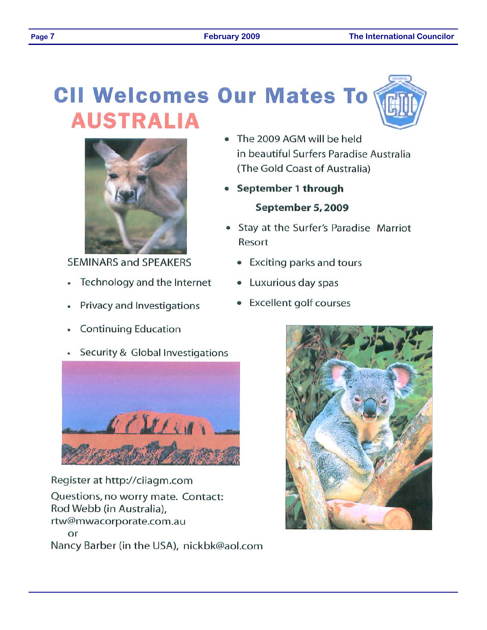# **CII Welcomes Our Mates To AUSTRALIA**



**SEMINARS and SPEAKERS** 

- Technology and the Internet  $\bullet$
- Privacy and Investigations
- **Continuing Education**
- Security & Global Investigations



Register at http://ciiagm.com Questions, no worry mate. Contact: Rod Webb (in Australia), rtw@mwacorporate.com.au or Nancy Barber (in the USA), nickbk@aol.com

- The 2009 AGM will be held in beautiful Surfers Paradise Australia (The Gold Coast of Australia)
- September 1 through September 5, 2009
- Stay at the Surfer's Paradise Marriot Resort
	- Exciting parks and tours
	- Luxurious day spas
	- **Excellent golf courses**



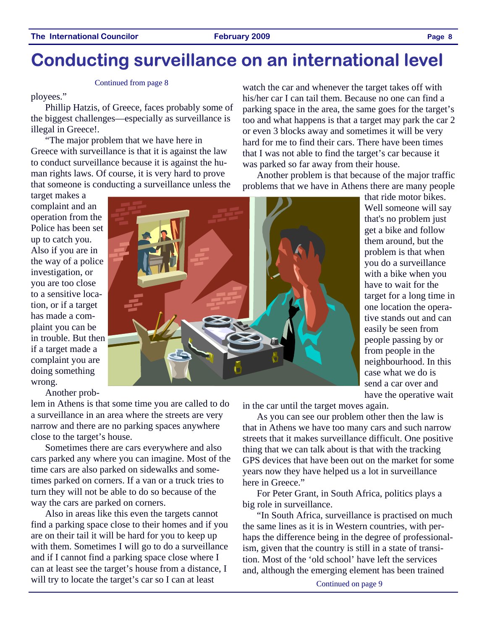## **Conducting surveillance on an international level**

#### Continued from page 8

ployees."

Phillip Hatzis, of Greece, faces probably some of the biggest challenges—especially as surveillance is illegal in Greece!.

"The major problem that we have here in Greece with surveillance is that it is against the law to conduct surveillance because it is against the human rights laws. Of course, it is very hard to prove that someone is conducting a surveillance unless the

target makes a complaint and an operation from the Police has been set up to catch you. Also if you are in the way of a police investigation, or you are too close to a sensitive location, or if a target has made a complaint you can be in trouble. But then if a target made a complaint you are doing something wrong.

Another prob-

lem in Athens is that some time you are called to do a surveillance in an area where the streets are very narrow and there are no parking spaces anywhere close to the target's house.

Sometimes there are cars everywhere and also cars parked any where you can imagine. Most of the time cars are also parked on sidewalks and sometimes parked on corners. If a van or a truck tries to turn they will not be able to do so because of the way the cars are parked on corners.

Also in areas like this even the targets cannot find a parking space close to their homes and if you are on their tail it will be hard for you to keep up with them. Sometimes I will go to do a surveillance and if I cannot find a parking space close where I can at least see the target's house from a distance, I will try to locate the target's car so I can at least

watch the car and whenever the target takes off with his/her car I can tail them. Because no one can find a parking space in the area, the same goes for the target's too and what happens is that a target may park the car 2 or even 3 blocks away and sometimes it will be very hard for me to find their cars. There have been times that I was not able to find the target's car because it was parked so far away from their house.

Another problem is that because of the major traffic problems that we have in Athens there are many people

> that ride motor bikes. Well someone will say that's no problem just get a bike and follow them around, but the problem is that when you do a surveillance with a bike when you have to wait for the target for a long time in one location the operative stands out and can easily be seen from people passing by or from people in the neighbourhood. In this case what we do is send a car over and have the operative wait



in the car until the target moves again.

As you can see our problem other then the law is that in Athens we have too many cars and such narrow streets that it makes surveillance difficult. One positive thing that we can talk about is that with the tracking GPS devices that have been out on the market for some years now they have helped us a lot in surveillance here in Greece."

For Peter Grant, in South Africa, politics plays a big role in surveillance.

"In South Africa, surveillance is practised on much the same lines as it is in Western countries, with perhaps the difference being in the degree of professionalism, given that the country is still in a state of transition. Most of the 'old school' have left the services and, although the emerging element has been trained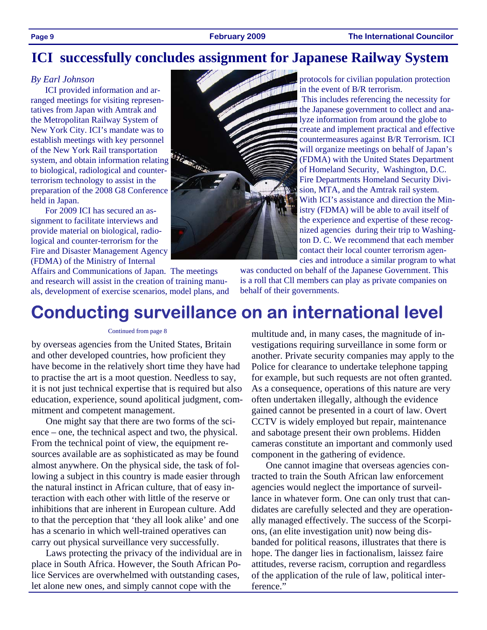### **ICI successfully concludes assignment for Japanese Railway System**

### *By Earl Johnson*

ICI provided information and arranged meetings for visiting representatives from Japan with Amtrak and the Metropolitan Railway System of New York City. ICI's mandate was to establish meetings with key personnel of the New York Rail transportation system, and obtain information relating to biological, radiological and counterterrorism technology to assist in the preparation of the 2008 G8 Conference held in Japan.

For 2009 ICI has secured an assignment to facilitate interviews and provide material on biological, radiological and counter-terrorism for the Fire and Disaster Management Agency (FDMA) of the Ministry of Internal

Affairs and Communications of Japan. The meetings and research will assist in the creation of training manuals, development of exercise scenarios, model plans, and



protocols for civilian population protection in the event of B/R terrorism.

 This includes referencing the necessity for the Japanese government to collect and analyze information from around the globe to create and implement practical and effective countermeasures against B/R Terrorism. ICI will organize meetings on behalf of Japan's (FDMA) with the United States Department of Homeland Security, Washington, D.C. Fire Departments Homeland Security Division, MTA, and the Amtrak rail system. With ICI's assistance and direction the Ministry (FDMA) will be able to avail itself of the experience and expertise of these recognized agencies during their trip to Washington D. C. We recommend that each member contact their local counter terrorism agencies and introduce a similar program to what

was conducted on behalf of the Japanese Government. This is a roll that Cll members can play as private companies on behalf of their governments.

## **Conducting surveillance on an international level**

#### Continued from page 8

by overseas agencies from the United States, Britain and other developed countries, how proficient they have become in the relatively short time they have had to practise the art is a moot question. Needless to say, it is not just technical expertise that is required but also education, experience, sound apolitical judgment, commitment and competent management.

One might say that there are two forms of the science – one, the technical aspect and two, the physical. From the technical point of view, the equipment resources available are as sophisticated as may be found almost anywhere. On the physical side, the task of following a subject in this country is made easier through the natural instinct in African culture, that of easy interaction with each other with little of the reserve or inhibitions that are inherent in European culture. Add to that the perception that 'they all look alike' and one has a scenario in which well-trained operatives can carry out physical surveillance very successfully.

Laws protecting the privacy of the individual are in place in South Africa. However, the South African Police Services are overwhelmed with outstanding cases, let alone new ones, and simply cannot cope with the

multitude and, in many cases, the magnitude of investigations requiring surveillance in some form or another. Private security companies may apply to the Police for clearance to undertake telephone tapping for example, but such requests are not often granted. As a consequence, operations of this nature are very often undertaken illegally, although the evidence gained cannot be presented in a court of law. Overt CCTV is widely employed but repair, maintenance and sabotage present their own problems. Hidden cameras constitute an important and commonly used component in the gathering of evidence.

One cannot imagine that overseas agencies contracted to train the South African law enforcement agencies would neglect the importance of surveillance in whatever form. One can only trust that candidates are carefully selected and they are operationally managed effectively. The success of the Scorpions, (an elite investigation unit) now being disbanded for political reasons, illustrates that there is hope. The danger lies in factionalism, laissez faire attitudes, reverse racism, corruption and regardless of the application of the rule of law, political interference."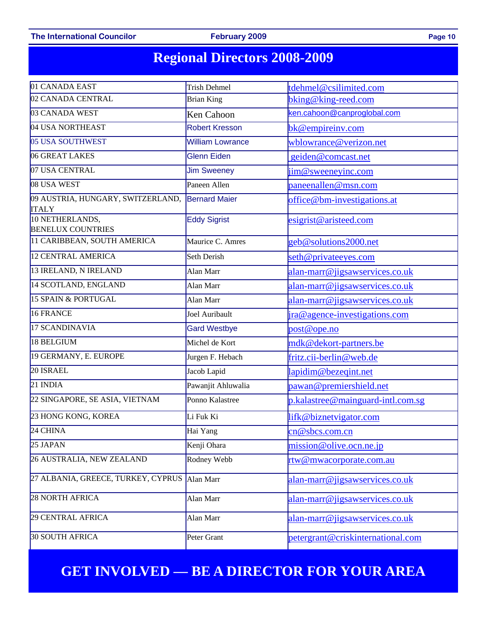### The International Councilor **February 2009** Page 10

## **Regional Directors 2008-2009**

| 01 CANADA EAST                                    | <b>Trish Dehmel</b>     | tdehmel@csilimited.com              |  |
|---------------------------------------------------|-------------------------|-------------------------------------|--|
| 02 CANADA CENTRAL                                 | <b>Brian King</b>       | bking@king-reed.com                 |  |
| 03 CANADA WEST                                    | Ken Cahoon              | cen.cahoon@canproglobal.com         |  |
| 04 USA NORTHEAST                                  | Robert Kresson          | bk@empireinv.com                    |  |
| 05 USA SOUTHWEST                                  | <b>William Lowrance</b> | wblowrance@verizon.net              |  |
| 06 GREAT LAKES                                    | <b>Glenn Eiden</b>      | geiden@comcast.net                  |  |
| 07 USA CENTRAL                                    | <b>Jim Sweeney</b>      | jim@sweeneyinc.com                  |  |
| 08 USA WEST                                       | Paneen Allen            | paneenallen@msn.com                 |  |
| 09 AUSTRIA, HUNGARY, SWITZERLAND,<br><b>ITALY</b> | <b>Bernard Maier</b>    | office@bm-investigations.at         |  |
| 10 NETHERLANDS,<br><b>BENELUX COUNTRIES</b>       | <b>Eddy Sigrist</b>     | esigrist@aristeed.com               |  |
| 11 CARIBBEAN, SOUTH AMERICA                       | Maurice C. Amres        | geb@solutions2000.net               |  |
| 12 CENTRAL AMERICA                                | Seth Derish             | seth@privateeyes.com                |  |
| 13 IRELAND, N IRELAND                             | Alan Marr               | alan-marr@jigsawservices.co.uk      |  |
| 14 SCOTLAND, ENGLAND                              | Alan Marr               | alan-marr@jigsawservices.co.uk      |  |
| 15 SPAIN & PORTUGAL                               | Alan Marr               | alan-marr@jigsawservices.co.uk      |  |
| 16 FRANCE                                         | Joel Auribault          | ira@agence-investigations.com       |  |
| 17 SCANDINAVIA                                    | <b>Gard Westbye</b>     | post@ope.no                         |  |
| 18 BELGIUM                                        | Michel de Kort          | mdk@dekort-partners.be              |  |
| 19 GERMANY, E. EUROPE                             | Jurgen F. Hebach        | fritz.cii-berlin@web.de             |  |
| 20 ISRAEL                                         | Jacob Lapid             | lapidim@bezeqint.net                |  |
| 21 INDIA                                          | Pawanjit Ahluwalia      | pawan@premiershield.net             |  |
| 22 SINGAPORE, SE ASIA, VIETNAM                    | Ponno Kalastree         | $p.kalastree@mainguard-intl.com.sg$ |  |
| 23 HONG KONG, KOREA                               | Li Fuk Ki               | lifk@biznetvigator.com              |  |
| 24 CHINA                                          | Hai Yang                | cn@sbcs.com.cn                      |  |
| 25 JAPAN                                          | Kenji Ohara             | mission@olive.ocn.ne.jp             |  |
| 26 AUSTRALIA, NEW ZEALAND                         | Rodney Webb             | rtw@mwacorporate.com.au             |  |
| 27 ALBANIA, GREECE, TURKEY, CYPRUS                | Alan Marr               | alan-marr@jigsawservices.co.uk      |  |
| 28 NORTH AFRICA                                   | Alan Marr               | alan-marr@jigsawservices.co.uk      |  |
| 29 CENTRAL AFRICA                                 | Alan Marr               | alan-marr@jigsawservices.co.uk      |  |
| 30 SOUTH AFRICA                                   | Peter Grant             | petergrant@criskinternational.com   |  |

### **GET INVOLVED — BE A DIRECTOR FOR YOUR AREA**